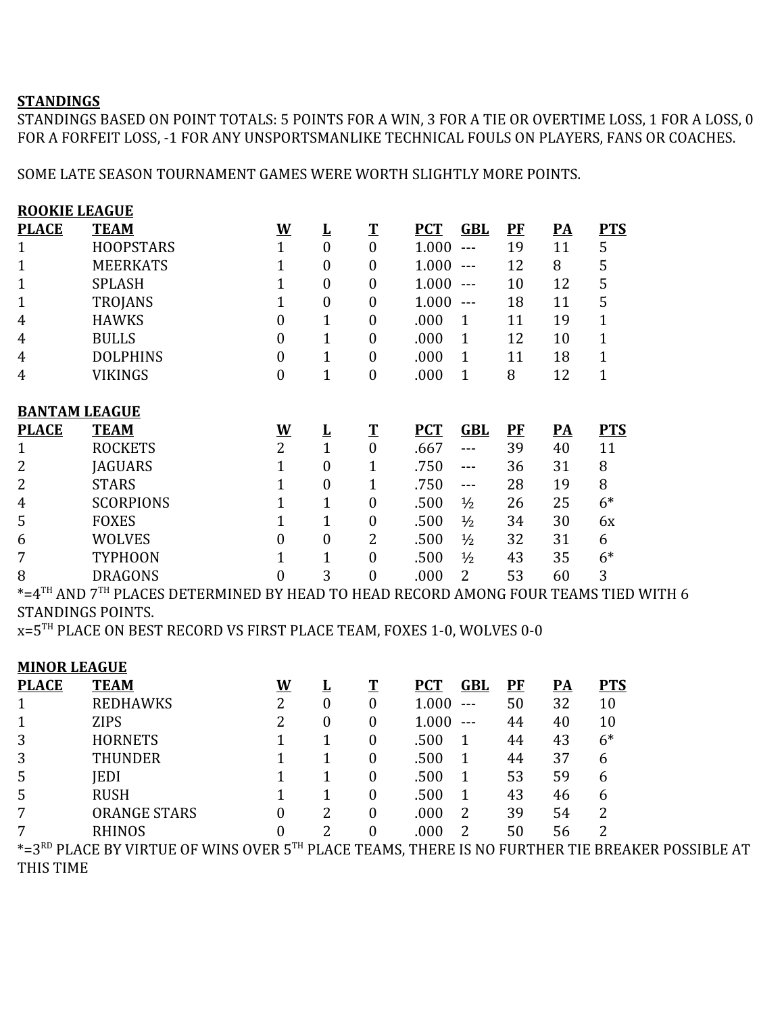## **STANDINGS**

STANDINGS BASED ON POINT TOTALS: 5 POINTS FOR A WIN, 3 FOR A TIE OR OVERTIME LOSS, 1 FOR A LOSS, 0 FOR A FORFEIT LOSS, -1 FOR ANY UNSPORTSMANLIKE TECHNICAL FOULS ON PLAYERS, FANS OR COACHES.

SOME LATE SEASON TOURNAMENT GAMES WERE WORTH SLIGHTLY MORE POINTS.

| <b>ROOKIE LEAGUE</b> |                  |                          |                         |                  |            |                   |         |                          |              |  |  |  |
|----------------------|------------------|--------------------------|-------------------------|------------------|------------|-------------------|---------|--------------------------|--------------|--|--|--|
| <b>PLACE</b>         | <b>TEAM</b>      | $\underline{\mathbf{W}}$ | $\overline{\mathbf{r}}$ | $\mathbf T$      | <b>PCT</b> | <b>GBL</b>        | $P$ $F$ | $\overline{PA}$          | <b>PTS</b>   |  |  |  |
| $\mathbf{1}$         | <b>HOOPSTARS</b> | $\mathbf{1}$             | $\overline{0}$          | $\boldsymbol{0}$ | 1.000      | $---$             | 19      | 11                       | 5            |  |  |  |
| 1                    | <b>MEERKATS</b>  | 1                        | 0                       | $\boldsymbol{0}$ | 1.000      | $---$             | 12      | 8                        | 5            |  |  |  |
| 1                    | <b>SPLASH</b>    |                          | 0                       | $\boldsymbol{0}$ | 1.000      | $---$             | 10      | 12                       | 5            |  |  |  |
| 1                    | <b>TROJANS</b>   |                          | 0                       | $\boldsymbol{0}$ | 1.000      | $\qquad \qquad -$ | 18      | 11                       | 5            |  |  |  |
| 4                    | <b>HAWKS</b>     | $\overline{0}$           | $\mathbf 1$             | $\boldsymbol{0}$ | .000       | $\mathbf 1$       | 11      | 19                       | $\mathbf{1}$ |  |  |  |
| 4                    | <b>BULLS</b>     | $\mathbf{0}$             | $\mathbf{1}$            | $\boldsymbol{0}$ | .000       | 1                 | 12      | 10                       | $\mathbf{1}$ |  |  |  |
| 4                    | <b>DOLPHINS</b>  | $\overline{0}$           | $\mathbf 1$             | $\boldsymbol{0}$ | .000       | 1                 | 11      | 18                       | $\mathbf{1}$ |  |  |  |
| 4                    | VIKINGS          | $\mathbf{0}$             | $\mathbf 1$             | $\boldsymbol{0}$ | .000       | $\mathbf 1$       | 8       | 12                       | 1            |  |  |  |
| <b>BANTAM LEAGUE</b> |                  |                          |                         |                  |            |                   |         |                          |              |  |  |  |
| <b>PLACE</b>         | <b>TEAM</b>      | $\underline{\mathbf{W}}$ | $\overline{\mathbf{r}}$ | $\mathbf T$      | <b>PCT</b> | <b>GBL</b>        | $P$ $F$ | $\overline{\mathbf{PA}}$ | <b>PTS</b>   |  |  |  |
| 1                    | <b>ROCKETS</b>   | $\overline{2}$           | $\mathbf{1}$            | $\boldsymbol{0}$ | .667       | $---$             | 39      | 40                       | 11           |  |  |  |
| 2                    | <b>JAGUARS</b>   | $\mathbf{1}$             | 0                       | $\mathbf 1$      | .750       | $---$             | 36      | 31                       | 8            |  |  |  |
| 2                    | <b>STARS</b>     | $\mathbf 1$              | 0                       | $\mathbf 1$      | .750       | $---$             | 28      | 19                       | 8            |  |  |  |
| 4                    | <b>SCORPIONS</b> | 1                        | $\mathbf{1}$            | $\boldsymbol{0}$ | .500       | $\frac{1}{2}$     | 26      | 25                       | $6*$         |  |  |  |
| 5                    | <b>FOXES</b>     | $\mathbf{1}$             | $\overline{1}$          | $\boldsymbol{0}$ | .500       | $\frac{1}{2}$     | 34      | 30                       | 6x           |  |  |  |
| 6                    | <b>WOLVES</b>    | $\theta$                 | 0                       | 2                | .500       | $\frac{1}{2}$     | 32      | 31                       | 6            |  |  |  |
| 7                    | <b>TYPHOON</b>   | $\mathbf 1$              | $\mathbf{1}$            | $\boldsymbol{0}$ | .500       | $\frac{1}{2}$     | 43      | 35                       | $6*$         |  |  |  |
| 8                    | <b>DRAGONS</b>   | $\overline{0}$           | 3                       | $\boldsymbol{0}$ | .000       | 2                 | 53      | 60                       | 3            |  |  |  |

\*=4TH AND 7TH PLACES DETERMINED BY HEAD TO HEAD RECORD AMONG FOUR TEAMS TIED WITH 6 STANDINGS POINTS.

x=5TH PLACE ON BEST RECORD VS FIRST PLACE TEAM, FOXES 1-0, WOLVES 0-0

| <b>MINOR LEAGUE</b> |                                                                                                             |          |   |                  |            |            |           |           |            |
|---------------------|-------------------------------------------------------------------------------------------------------------|----------|---|------------------|------------|------------|-----------|-----------|------------|
| <b>PLACE</b>        | <b>TEAM</b>                                                                                                 | <u>W</u> |   |                  | <b>PCT</b> | <b>GBL</b> | <b>PF</b> | <u>PA</u> | <b>PTS</b> |
|                     | <b>REDHAWKS</b>                                                                                             | າ        | 0 | $\boldsymbol{0}$ | $1.000 -$  |            | 50        | 32        | 10         |
|                     | <b>ZIPS</b>                                                                                                 |          | 0 | $\theta$         | $1.000 -$  |            | 44        | 40        | 10         |
| 3                   | <b>HORNETS</b>                                                                                              |          |   | 0                | .500       |            | 44        | 43        | $6*$       |
| 3                   | <b>THUNDER</b>                                                                                              |          |   | 0                | .500       |            | 44        | 37        | 6          |
| 5                   | <b>IEDI</b>                                                                                                 |          |   | 0                | .500       |            | 53        | 59        | 6          |
| 5                   | <b>RUSH</b>                                                                                                 |          |   | 0                | .500       |            | 43        | 46        | 6          |
| 7                   | <b>ORANGE STARS</b>                                                                                         |          | າ | 0                | .000       | 2          | 39        | 54        | 2          |
| 7                   | <b>RHINOS</b>                                                                                               |          |   | 0                | .000       | 2          | 50        | 56        | 2          |
|                     | *=3 <sup>RD</sup> PLACE BY VIRTUE OF WINS OVER 5TH PLACE TEAMS, THERE IS NO FURTHER TIE BREAKER POSSIBLE AT |          |   |                  |            |            |           |           |            |

THIS TIME